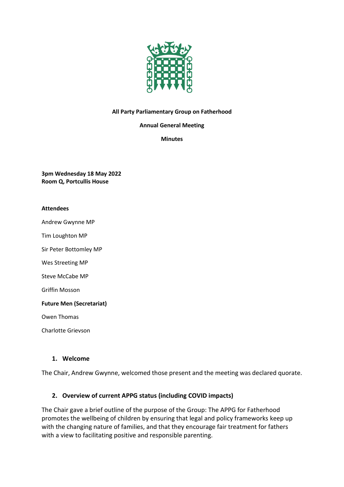

#### **All Party Parliamentary Group on Fatherhood**

**Annual General Meeting**

#### **Minutes**

**3pm Wednesday 18 May 2022 Room Q, Portcullis House**

#### **Attendees**

Andrew Gwynne MP

Tim Loughton MP

Sir Peter Bottomley MP

Wes Streeting MP

Steve McCabe MP

Griffin Mosson

**Future Men (Secretariat)**

Owen Thomas

Charlotte Grievson

#### **1. Welcome**

The Chair, Andrew Gwynne, welcomed those present and the meeting was declared quorate.

#### **2. Overview of current APPG status (including COVID impacts)**

The Chair gave a brief outline of the purpose of the Group: The APPG for Fatherhood promotes the wellbeing of children by ensuring that legal and policy frameworks keep up with the changing nature of families, and that they encourage fair treatment for fathers with a view to facilitating positive and responsible parenting.